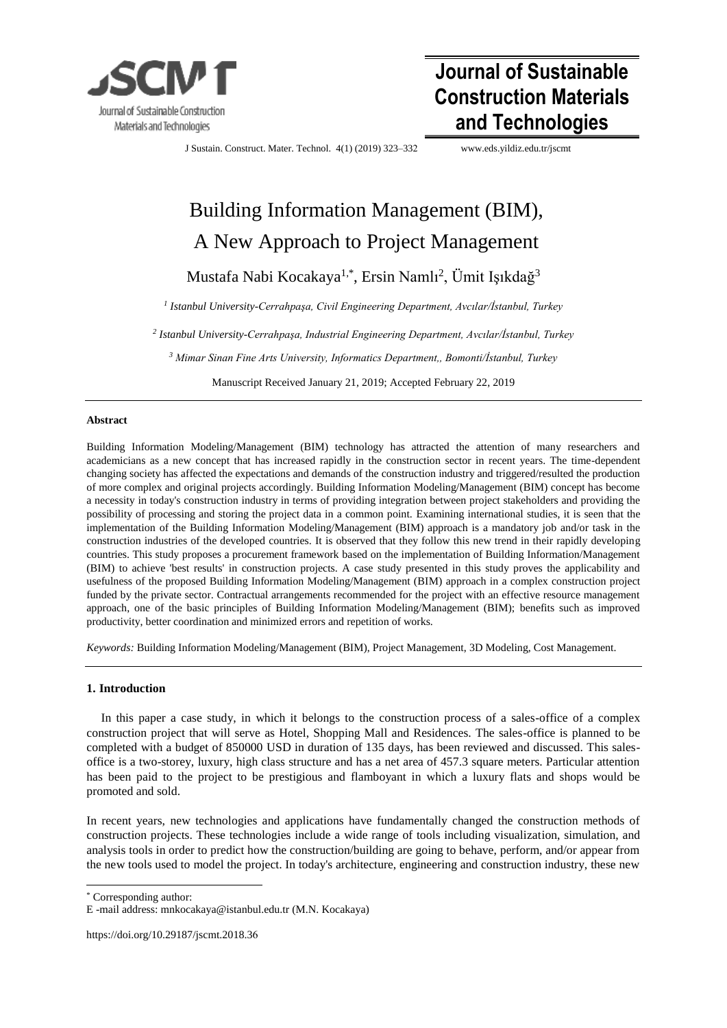

# **Journal of Sustainable Construction Materials and Technologies**

J Sustain. Construct. Mater. Technol. 4(1) (2019) 323–332 [www.e](http://www./)ds.yildiz.edu.tr/jscmt

# Building Information Management (BIM), A New Approach to Project Management

Mustafa Nabi Kocakaya<sup>1,\*</sup>, Ersin Namlı<sup>2</sup>, Ümit Işıkdağ<sup>3</sup>

*1 Istanbul University-Cerrahpaşa, Civil Engineering Department, Avcılar/İstanbul, Turkey*

*2 Istanbul University-Cerrahpaşa, Industrial Engineering Department, Avcılar/İstanbul, Turkey*

*<sup>3</sup> Mimar Sinan Fine Arts University, Informatics Department,, Bomonti/İstanbul, Turkey* 

Manuscript Received January 21, 2019; Accepted February 22, 2019

## **Abstract**

Building Information Modeling/Management (BIM) technology has attracted the attention of many researchers and academicians as a new concept that has increased rapidly in the construction sector in recent years. The time-dependent changing society has affected the expectations and demands of the construction industry and triggered/resulted the production of more complex and original projects accordingly. Building Information Modeling/Management (BIM) concept has become a necessity in today's construction industry in terms of providing integration between project stakeholders and providing the possibility of processing and storing the project data in a common point. Examining international studies, it is seen that the implementation of the Building Information Modeling/Management (BIM) approach is a mandatory job and/or task in the construction industries of the developed countries. It is observed that they follow this new trend in their rapidly developing countries. This study proposes a procurement framework based on the implementation of Building Information/Management (BIM) to achieve 'best results' in construction projects. A case study presented in this study proves the applicability and usefulness of the proposed Building Information Modeling/Management (BIM) approach in a complex construction project funded by the private sector. Contractual arrangements recommended for the project with an effective resource management approach, one of the basic principles of Building Information Modeling/Management (BIM); benefits such as improved productivity, better coordination and minimized errors and repetition of works.

*Keywords:* Building Information Modeling/Management (BIM), Project Management, 3D Modeling, Cost Management.

# **1. Introduction**

In this paper a case study, in which it belongs to the construction process of a sales-office of a complex construction project that will serve as Hotel, Shopping Mall and Residences. The sales-office is planned to be completed with a budget of 850000 USD in duration of 135 days, has been reviewed and discussed. This salesoffice is a two-storey, luxury, high class structure and has a net area of 457.3 square meters. Particular attention has been paid to the project to be prestigious and flamboyant in which a luxury flats and shops would be promoted and sold.

In recent years, new technologies and applications have fundamentally changed the construction methods of construction projects. These technologies include a wide range of tools including visualization, simulation, and analysis tools in order to predict how the construction/building are going to behave, perform, and/or appear from the new tools used to model the project. In today's architecture, engineering and construction industry, these new

\* Corresponding author:

https://doi.org/10.29187/jscmt.2018.36

E -mail address: mnkocakaya@istanbul.edu.tr (M.N. Kocakaya)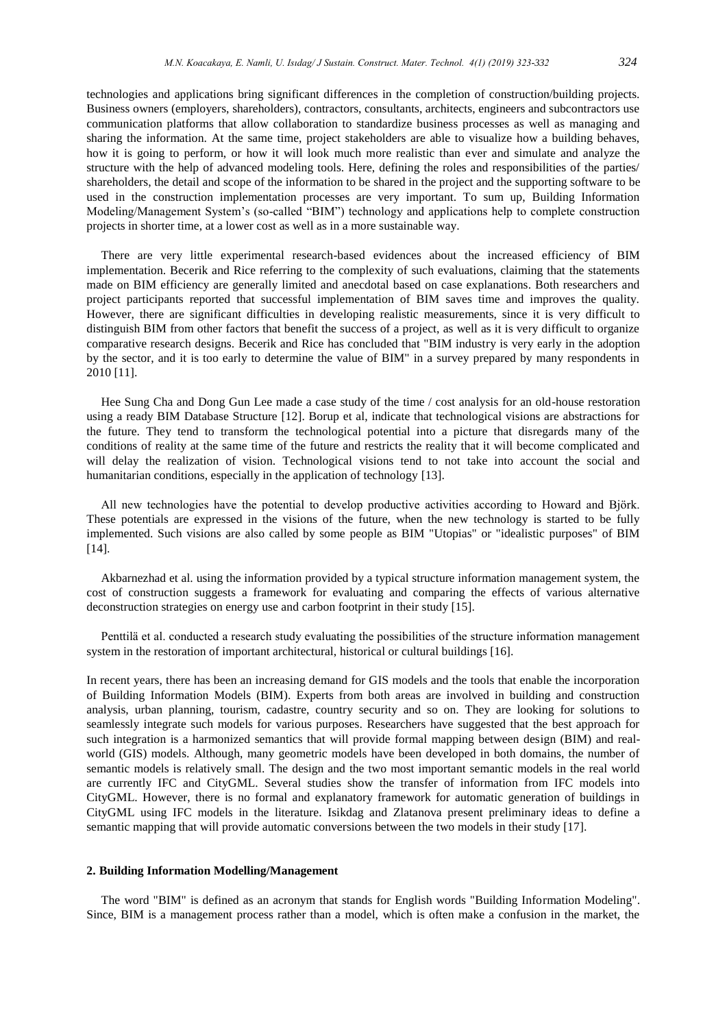technologies and applications bring significant differences in the completion of construction/building projects. Business owners (employers, shareholders), contractors, consultants, architects, engineers and subcontractors use communication platforms that allow collaboration to standardize business processes as well as managing and sharing the information. At the same time, project stakeholders are able to visualize how a building behaves, how it is going to perform, or how it will look much more realistic than ever and simulate and analyze the structure with the help of advanced modeling tools. Here, defining the roles and responsibilities of the parties/ shareholders, the detail and scope of the information to be shared in the project and the supporting software to be used in the construction implementation processes are very important. To sum up, Building Information Modeling/Management System's (so-called "BIM") technology and applications help to complete construction projects in shorter time, at a lower cost as well as in a more sustainable way.

There are very little experimental research-based evidences about the increased efficiency of BIM implementation. Becerik and Rice referring to the complexity of such evaluations, claiming that the statements made on BIM efficiency are generally limited and anecdotal based on case explanations. Both researchers and project participants reported that successful implementation of BIM saves time and improves the quality. However, there are significant difficulties in developing realistic measurements, since it is very difficult to distinguish BIM from other factors that benefit the success of a project, as well as it is very difficult to organize comparative research designs. Becerik and Rice has concluded that "BIM industry is very early in the adoption by the sector, and it is too early to determine the value of BIM" in a survey prepared by many respondents in 2010 [11].

Hee Sung Cha and Dong Gun Lee made a case study of the time / cost analysis for an old-house restoration using a ready BIM Database Structure [12]. Borup et al, indicate that technological visions are abstractions for the future. They tend to transform the technological potential into a picture that disregards many of the conditions of reality at the same time of the future and restricts the reality that it will become complicated and will delay the realization of vision. Technological visions tend to not take into account the social and humanitarian conditions, especially in the application of technology [13].

All new technologies have the potential to develop productive activities according to Howard and Björk. These potentials are expressed in the visions of the future, when the new technology is started to be fully implemented. Such visions are also called by some people as BIM "Utopias" or "idealistic purposes" of BIM [14].

Akbarnezhad et al. using the information provided by a typical structure information management system, the cost of construction suggests a framework for evaluating and comparing the effects of various alternative deconstruction strategies on energy use and carbon footprint in their study [15].

Penttilä et al. conducted a research study evaluating the possibilities of the structure information management system in the restoration of important architectural, historical or cultural buildings [16].

In recent years, there has been an increasing demand for GIS models and the tools that enable the incorporation of Building Information Models (BIM). Experts from both areas are involved in building and construction analysis, urban planning, tourism, cadastre, country security and so on. They are looking for solutions to seamlessly integrate such models for various purposes. Researchers have suggested that the best approach for such integration is a harmonized semantics that will provide formal mapping between design (BIM) and realworld (GIS) models. Although, many geometric models have been developed in both domains, the number of semantic models is relatively small. The design and the two most important semantic models in the real world are currently IFC and CityGML. Several studies show the transfer of information from IFC models into CityGML. However, there is no formal and explanatory framework for automatic generation of buildings in CityGML using IFC models in the literature. Isikdag and Zlatanova present preliminary ideas to define a semantic mapping that will provide automatic conversions between the two models in their study [17].

#### **2. Building Information Modelling/Management**

The word "BIM" is defined as an acronym that stands for English words "Building Information Modeling". Since, BIM is a management process rather than a model, which is often make a confusion in the market, the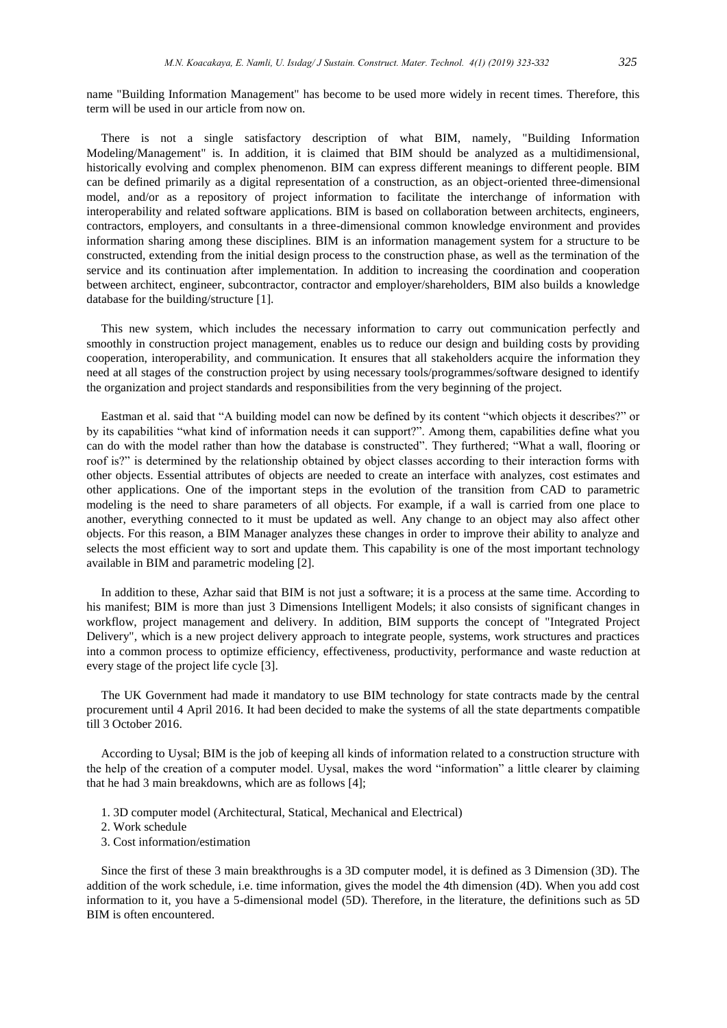name "Building Information Management" has become to be used more widely in recent times. Therefore, this term will be used in our article from now on.

There is not a single satisfactory description of what BIM, namely, "Building Information Modeling/Management" is. In addition, it is claimed that BIM should be analyzed as a multidimensional, historically evolving and complex phenomenon. BIM can express different meanings to different people. BIM can be defined primarily as a digital representation of a construction, as an object-oriented three-dimensional model, and/or as a repository of project information to facilitate the interchange of information with interoperability and related software applications. BIM is based on collaboration between architects, engineers, contractors, employers, and consultants in a three-dimensional common knowledge environment and provides information sharing among these disciplines. BIM is an information management system for a structure to be constructed, extending from the initial design process to the construction phase, as well as the termination of the service and its continuation after implementation. In addition to increasing the coordination and cooperation between architect, engineer, subcontractor, contractor and employer/shareholders, BIM also builds a knowledge database for the building/structure [1].

This new system, which includes the necessary information to carry out communication perfectly and smoothly in construction project management, enables us to reduce our design and building costs by providing cooperation, interoperability, and communication. It ensures that all stakeholders acquire the information they need at all stages of the construction project by using necessary tools/programmes/software designed to identify the organization and project standards and responsibilities from the very beginning of the project.

Eastman et al. said that "A building model can now be defined by its content "which objects it describes?" or by its capabilities "what kind of information needs it can support?". Among them, capabilities define what you can do with the model rather than how the database is constructed". They furthered; "What a wall, flooring or roof is?" is determined by the relationship obtained by object classes according to their interaction forms with other objects. Essential attributes of objects are needed to create an interface with analyzes, cost estimates and other applications. One of the important steps in the evolution of the transition from CAD to parametric modeling is the need to share parameters of all objects. For example, if a wall is carried from one place to another, everything connected to it must be updated as well. Any change to an object may also affect other objects. For this reason, a BIM Manager analyzes these changes in order to improve their ability to analyze and selects the most efficient way to sort and update them. This capability is one of the most important technology available in BIM and parametric modeling [2].

In addition to these, Azhar said that BIM is not just a software; it is a process at the same time. According to his manifest; BIM is more than just 3 Dimensions Intelligent Models; it also consists of significant changes in workflow, project management and delivery. In addition, BIM supports the concept of "Integrated Project Delivery", which is a new project delivery approach to integrate people, systems, work structures and practices into a common process to optimize efficiency, effectiveness, productivity, performance and waste reduction at every stage of the project life cycle [3].

The UK Government had made it mandatory to use BIM technology for state contracts made by the central procurement until 4 April 2016. It had been decided to make the systems of all the state departments compatible till 3 October 2016.

According to Uysal; BIM is the job of keeping all kinds of information related to a construction structure with the help of the creation of a computer model. Uysal, makes the word "information" a little clearer by claiming that he had 3 main breakdowns, which are as follows [4];

- 1. 3D computer model (Architectural, Statical, Mechanical and Electrical)
- 2. Work schedule
- 3. Cost information/estimation

Since the first of these 3 main breakthroughs is a 3D computer model, it is defined as 3 Dimension (3D). The addition of the work schedule, i.e. time information, gives the model the 4th dimension (4D). When you add cost information to it, you have a 5-dimensional model (5D). Therefore, in the literature, the definitions such as 5D BIM is often encountered.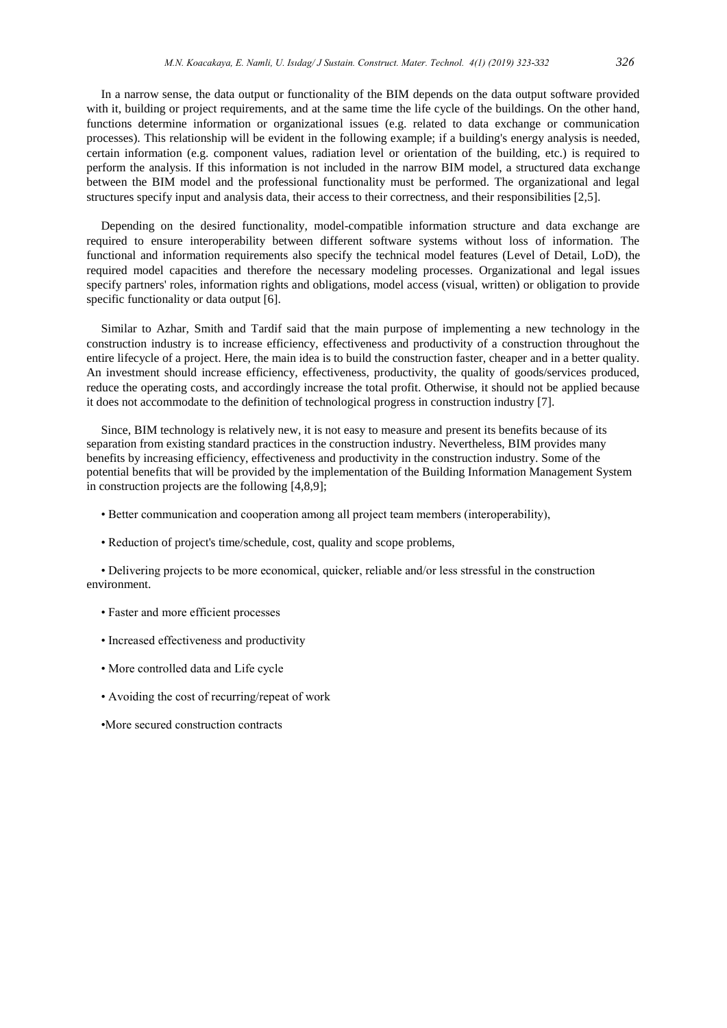In a narrow sense, the data output or functionality of the BIM depends on the data output software provided with it, building or project requirements, and at the same time the life cycle of the buildings. On the other hand, functions determine information or organizational issues (e.g. related to data exchange or communication processes). This relationship will be evident in the following example; if a building's energy analysis is needed, certain information (e.g. component values, radiation level or orientation of the building, etc.) is required to perform the analysis. If this information is not included in the narrow BIM model, a structured data exchange between the BIM model and the professional functionality must be performed. The organizational and legal structures specify input and analysis data, their access to their correctness, and their responsibilities [2,5].

Depending on the desired functionality, model-compatible information structure and data exchange are required to ensure interoperability between different software systems without loss of information. The functional and information requirements also specify the technical model features (Level of Detail, LoD), the required model capacities and therefore the necessary modeling processes. Organizational and legal issues specify partners' roles, information rights and obligations, model access (visual, written) or obligation to provide specific functionality or data output [6].

Similar to Azhar, Smith and Tardif said that the main purpose of implementing a new technology in the construction industry is to increase efficiency, effectiveness and productivity of a construction throughout the entire lifecycle of a project. Here, the main idea is to build the construction faster, cheaper and in a better quality. An investment should increase efficiency, effectiveness, productivity, the quality of goods/services produced, reduce the operating costs, and accordingly increase the total profit. Otherwise, it should not be applied because it does not accommodate to the definition of technological progress in construction industry [7].

Since, BIM technology is relatively new, it is not easy to measure and present its benefits because of its separation from existing standard practices in the construction industry. Nevertheless, BIM provides many benefits by increasing efficiency, effectiveness and productivity in the construction industry. Some of the potential benefits that will be provided by the implementation of the Building Information Management System in construction projects are the following [4,8,9];

- Better communication and cooperation among all project team members (interoperability),
- Reduction of project's time/schedule, cost, quality and scope problems,

• Delivering projects to be more economical, quicker, reliable and/or less stressful in the construction environment.

- Faster and more efficient processes
- Increased effectiveness and productivity
- More controlled data and Life cycle
- Avoiding the cost of recurring/repeat of work
- •More secured construction contracts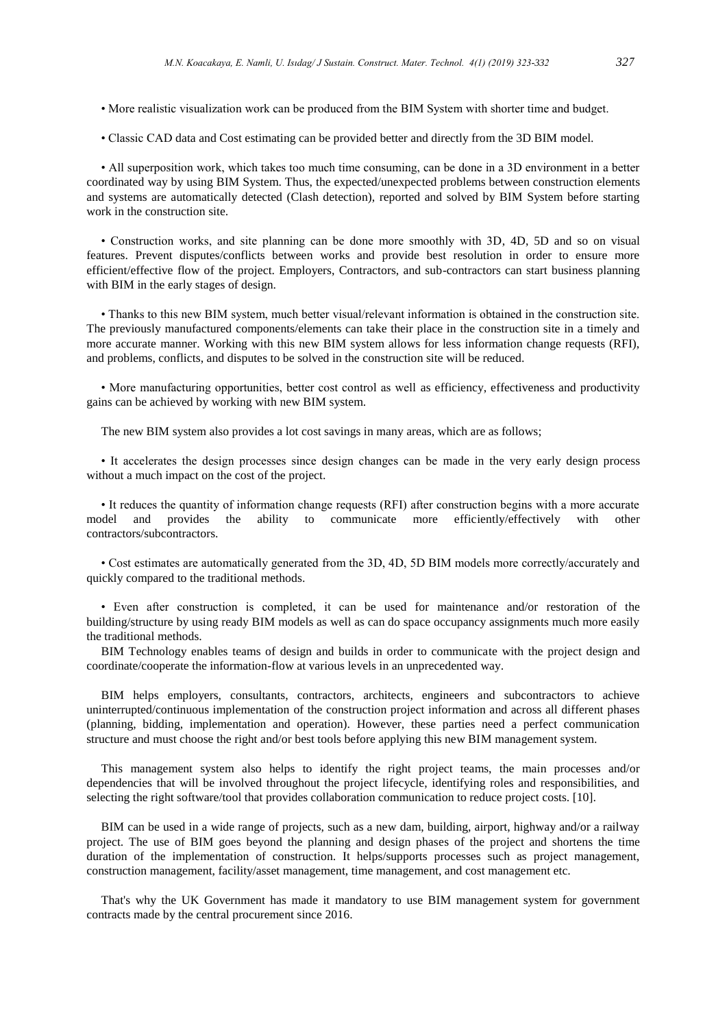- More realistic visualization work can be produced from the BIM System with shorter time and budget.
- Classic CAD data and Cost estimating can be provided better and directly from the 3D BIM model.

• All superposition work, which takes too much time consuming, can be done in a 3D environment in a better coordinated way by using BIM System. Thus, the expected/unexpected problems between construction elements and systems are automatically detected (Clash detection), reported and solved by BIM System before starting work in the construction site.

• Construction works, and site planning can be done more smoothly with 3D, 4D, 5D and so on visual features. Prevent disputes/conflicts between works and provide best resolution in order to ensure more efficient/effective flow of the project. Employers, Contractors, and sub-contractors can start business planning with BIM in the early stages of design.

• Thanks to this new BIM system, much better visual/relevant information is obtained in the construction site. The previously manufactured components/elements can take their place in the construction site in a timely and more accurate manner. Working with this new BIM system allows for less information change requests (RFI), and problems, conflicts, and disputes to be solved in the construction site will be reduced.

• More manufacturing opportunities, better cost control as well as efficiency, effectiveness and productivity gains can be achieved by working with new BIM system.

The new BIM system also provides a lot cost savings in many areas, which are as follows;

• It accelerates the design processes since design changes can be made in the very early design process without a much impact on the cost of the project.

• It reduces the quantity of information change requests (RFI) after construction begins with a more accurate model and provides the ability to communicate more efficiently/effectively with other contractors/subcontractors.

• Cost estimates are automatically generated from the 3D, 4D, 5D BIM models more correctly/accurately and quickly compared to the traditional methods.

• Even after construction is completed, it can be used for maintenance and/or restoration of the building/structure by using ready BIM models as well as can do space occupancy assignments much more easily the traditional methods.

BIM Technology enables teams of design and builds in order to communicate with the project design and coordinate/cooperate the information-flow at various levels in an unprecedented way.

BIM helps employers, consultants, contractors, architects, engineers and subcontractors to achieve uninterrupted/continuous implementation of the construction project information and across all different phases (planning, bidding, implementation and operation). However, these parties need a perfect communication structure and must choose the right and/or best tools before applying this new BIM management system.

This management system also helps to identify the right project teams, the main processes and/or dependencies that will be involved throughout the project lifecycle, identifying roles and responsibilities, and selecting the right software/tool that provides collaboration communication to reduce project costs. [10].

BIM can be used in a wide range of projects, such as a new dam, building, airport, highway and/or a railway project. The use of BIM goes beyond the planning and design phases of the project and shortens the time duration of the implementation of construction. It helps/supports processes such as project management, construction management, facility/asset management, time management, and cost management etc.

That's why the UK Government has made it mandatory to use BIM management system for government contracts made by the central procurement since 2016.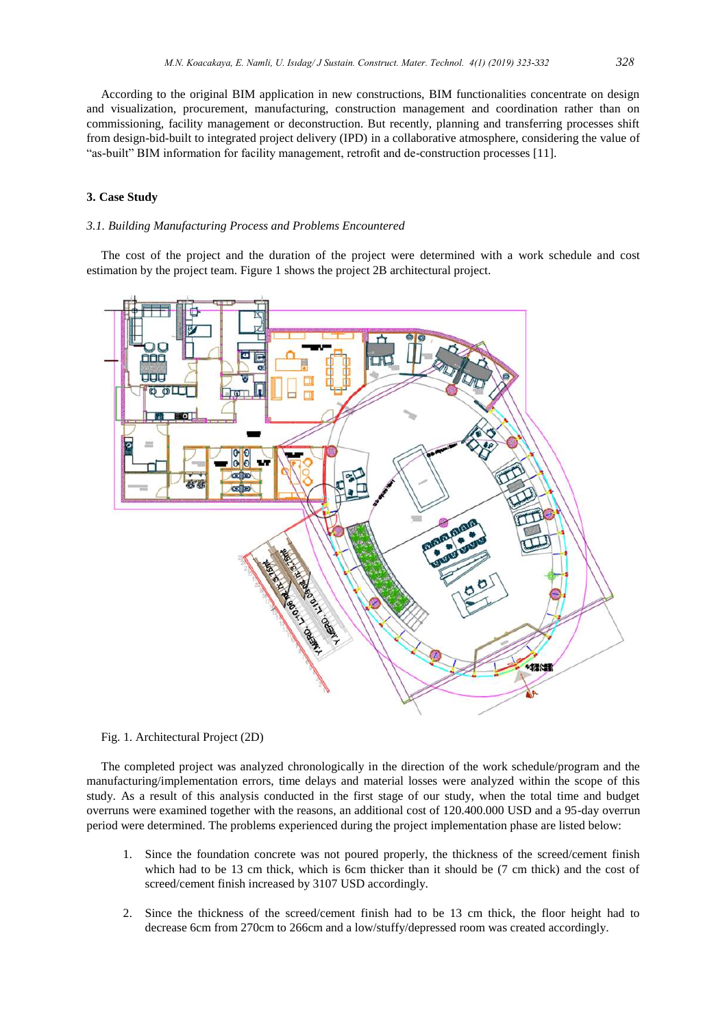According to the original BIM application in new constructions, BIM functionalities concentrate on design and visualization, procurement, manufacturing, construction management and coordination rather than on commissioning, facility management or deconstruction. But recently, planning and transferring processes shift from design-bid-built to integrated project delivery (IPD) in a collaborative atmosphere, considering the value of "as-built" BIM information for facility management, retrofit and de-construction processes [11].

## **3. Case Study**

#### *3.1. Building Manufacturing Process and Problems Encountered*

The cost of the project and the duration of the project were determined with a work schedule and cost estimation by the project team. Figure 1 shows the project 2B architectural project.



Fig. 1. Architectural Project (2D)

The completed project was analyzed chronologically in the direction of the work schedule/program and the manufacturing/implementation errors, time delays and material losses were analyzed within the scope of this study. As a result of this analysis conducted in the first stage of our study, when the total time and budget overruns were examined together with the reasons, an additional cost of 120.400.000 USD and a 95-day overrun period were determined. The problems experienced during the project implementation phase are listed below:

- 1. Since the foundation concrete was not poured properly, the thickness of the screed/cement finish which had to be 13 cm thick, which is 6cm thicker than it should be (7 cm thick) and the cost of screed/cement finish increased by 3107 USD accordingly.
- 2. Since the thickness of the screed/cement finish had to be 13 cm thick, the floor height had to decrease 6cm from 270cm to 266cm and a low/stuffy/depressed room was created accordingly.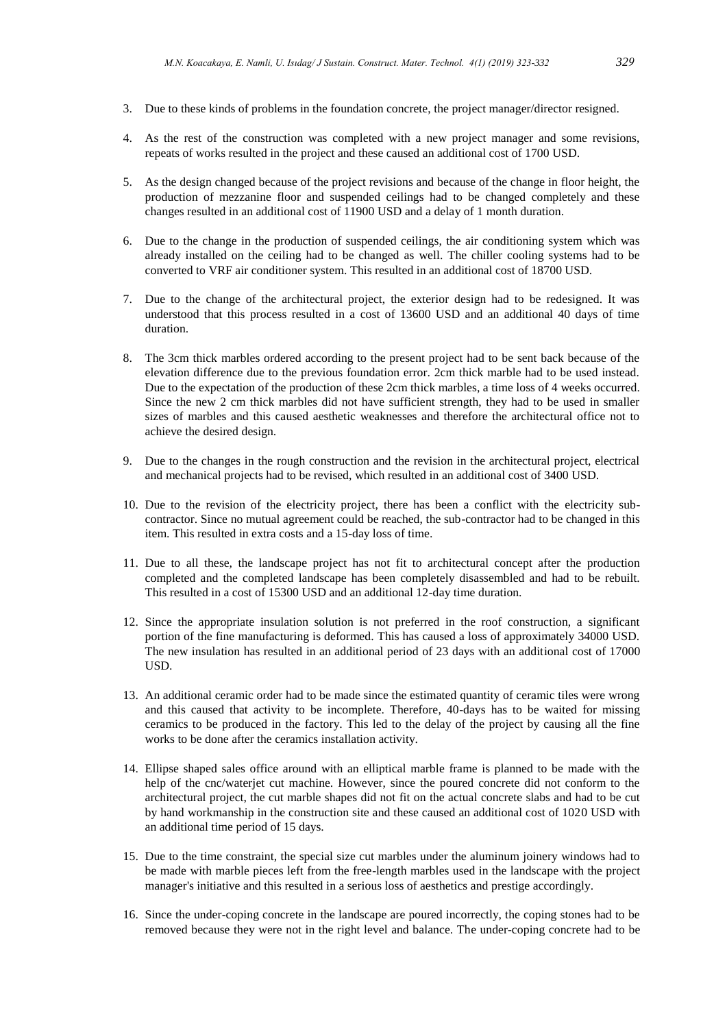- 3. Due to these kinds of problems in the foundation concrete, the project manager/director resigned.
- 4. As the rest of the construction was completed with a new project manager and some revisions, repeats of works resulted in the project and these caused an additional cost of 1700 USD.
- 5. As the design changed because of the project revisions and because of the change in floor height, the production of mezzanine floor and suspended ceilings had to be changed completely and these changes resulted in an additional cost of 11900 USD and a delay of 1 month duration.
- 6. Due to the change in the production of suspended ceilings, the air conditioning system which was already installed on the ceiling had to be changed as well. The chiller cooling systems had to be converted to VRF air conditioner system. This resulted in an additional cost of 18700 USD.
- 7. Due to the change of the architectural project, the exterior design had to be redesigned. It was understood that this process resulted in a cost of 13600 USD and an additional 40 days of time duration.
- 8. The 3cm thick marbles ordered according to the present project had to be sent back because of the elevation difference due to the previous foundation error. 2cm thick marble had to be used instead. Due to the expectation of the production of these 2cm thick marbles, a time loss of 4 weeks occurred. Since the new 2 cm thick marbles did not have sufficient strength, they had to be used in smaller sizes of marbles and this caused aesthetic weaknesses and therefore the architectural office not to achieve the desired design.
- 9. Due to the changes in the rough construction and the revision in the architectural project, electrical and mechanical projects had to be revised, which resulted in an additional cost of 3400 USD.
- 10. Due to the revision of the electricity project, there has been a conflict with the electricity subcontractor. Since no mutual agreement could be reached, the sub-contractor had to be changed in this item. This resulted in extra costs and a 15-day loss of time.
- 11. Due to all these, the landscape project has not fit to architectural concept after the production completed and the completed landscape has been completely disassembled and had to be rebuilt. This resulted in a cost of 15300 USD and an additional 12-day time duration.
- 12. Since the appropriate insulation solution is not preferred in the roof construction, a significant portion of the fine manufacturing is deformed. This has caused a loss of approximately 34000 USD. The new insulation has resulted in an additional period of 23 days with an additional cost of 17000 USD.
- 13. An additional ceramic order had to be made since the estimated quantity of ceramic tiles were wrong and this caused that activity to be incomplete. Therefore, 40-days has to be waited for missing ceramics to be produced in the factory. This led to the delay of the project by causing all the fine works to be done after the ceramics installation activity.
- 14. Ellipse shaped sales office around with an elliptical marble frame is planned to be made with the help of the cnc/waterjet cut machine. However, since the poured concrete did not conform to the architectural project, the cut marble shapes did not fit on the actual concrete slabs and had to be cut by hand workmanship in the construction site and these caused an additional cost of 1020 USD with an additional time period of 15 days.
- 15. Due to the time constraint, the special size cut marbles under the aluminum joinery windows had to be made with marble pieces left from the free-length marbles used in the landscape with the project manager's initiative and this resulted in a serious loss of aesthetics and prestige accordingly.
- 16. Since the under-coping concrete in the landscape are poured incorrectly, the coping stones had to be removed because they were not in the right level and balance. The under-coping concrete had to be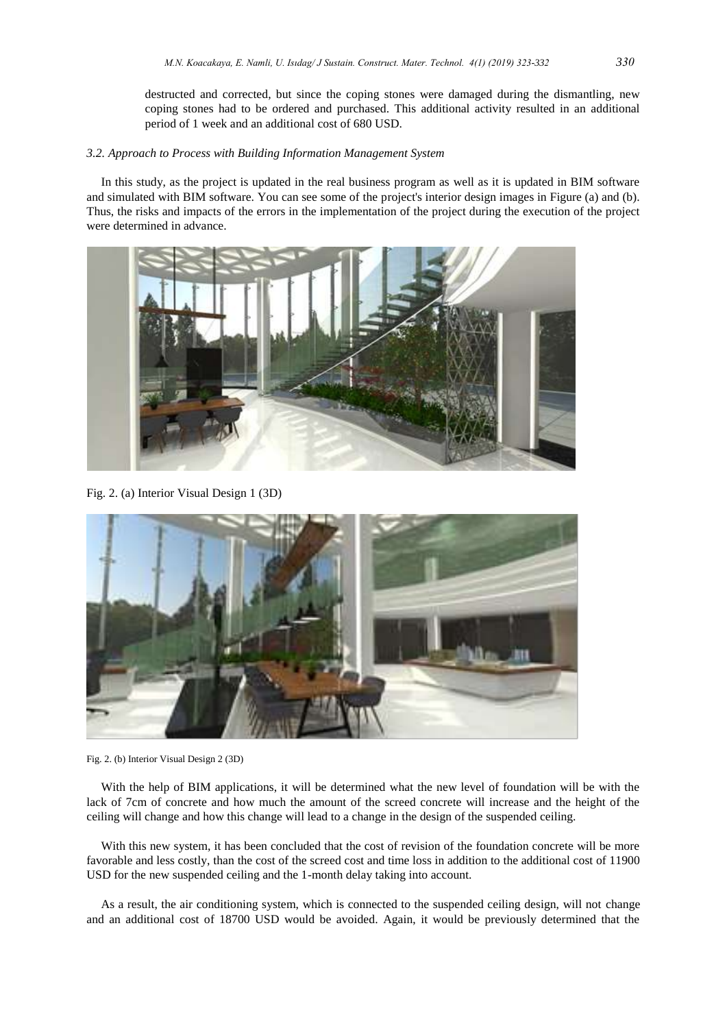destructed and corrected, but since the coping stones were damaged during the dismantling, new coping stones had to be ordered and purchased. This additional activity resulted in an additional period of 1 week and an additional cost of 680 USD.

### *3.2. Approach to Process with Building Information Management System*

In this study, as the project is updated in the real business program as well as it is updated in BIM software and simulated with BIM software. You can see some of the project's interior design images in Figure (a) and (b). Thus, the risks and impacts of the errors in the implementation of the project during the execution of the project were determined in advance.



Fig. 2. (a) Interior Visual Design 1 (3D)



Fig. 2. (b) Interior Visual Design 2 (3D)

With the help of BIM applications, it will be determined what the new level of foundation will be with the lack of 7cm of concrete and how much the amount of the screed concrete will increase and the height of the ceiling will change and how this change will lead to a change in the design of the suspended ceiling.

With this new system, it has been concluded that the cost of revision of the foundation concrete will be more favorable and less costly, than the cost of the screed cost and time loss in addition to the additional cost of 11900 USD for the new suspended ceiling and the 1-month delay taking into account.

As a result, the air conditioning system, which is connected to the suspended ceiling design, will not change and an additional cost of 18700 USD would be avoided. Again, it would be previously determined that the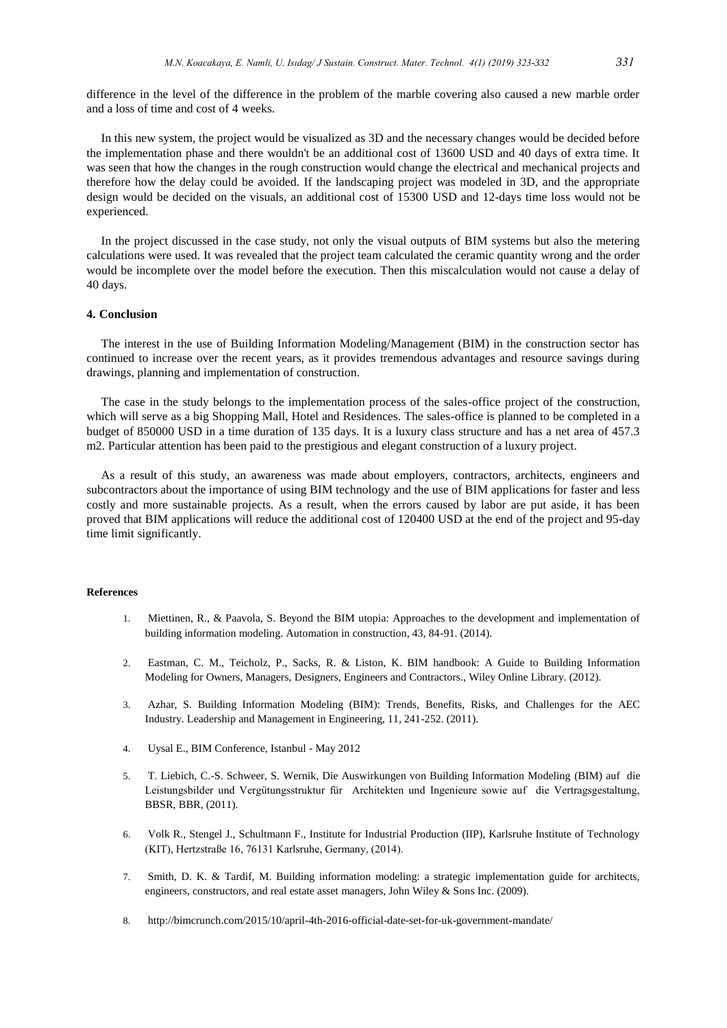difference in the level of the difference in the problem of the marble covering also caused a new marble order and a loss of time and cost of 4 weeks.

In this new system, the project would be visualized as 3D and the necessary changes would be decided before the implementation phase and there wouldn't be an additional cost of 13600 USD and 40 days of extra time. It was seen that how the changes in the rough construction would change the electrical and mechanical projects and therefore how the delay could be avoided. If the landscaping project was modeled in 3D, and the appropriate design would be decided on the visuals, an additional cost of 15300 USD and 12-days time loss would not be experienced.

In the project discussed in the case study, not only the visual outputs of BIM systems but also the metering calculations were used. It was revealed that the project team calculated the ceramic quantity wrong and the order would be incomplete over the model before the execution. Then this miscalculation would not cause a delay of 40 days.

#### **4. Conclusion**

The interest in the use of Building Information Modeling/Management (BIM) in the construction sector has continued to increase over the recent years, as it provides tremendous advantages and resource savings during drawings, planning and implementation of construction.

The case in the study belongs to the implementation process of the sales-office project of the construction, which will serve as a big Shopping Mall, Hotel and Residences. The sales-office is planned to be completed in a budget of 850000 USD in a time duration of 135 days. It is a luxury class structure and has a net area of 457.3 m2. Particular attention has been paid to the prestigious and elegant construction of a luxury project.

As a result of this study, an awareness was made about employers, contractors, architects, engineers and subcontractors about the importance of using BIM technology and the use of BIM applications for faster and less costly and more sustainable projects. As a result, when the errors caused by labor are put aside, it has been proved that BIM applications will reduce the additional cost of 120400 USD at the end of the project and 95-day time limit significantly.

## **References**

- 1. Miettinen, R., & Paavola, S. Beyond the BIM utopia: Approaches to the development and implementation of building information modeling. Automation in construction, 43, 84-91. (2014).
- 2. Eastman, C. M., Teicholz, P., Sacks, R. & Liston, K. BIM handbook: A Guide to Building Information Modeling for Owners, Managers, Designers, Engineers and Contractors., Wiley Online Library. (2012).
- 3. Azhar, S. Building Information Modeling (BIM): Trends, Benefits, Risks, and Challenges for the AEC Industry. Leadership and Management in Engineering, 11, 241-252. (2011).
- 4. Uysal E., BIM Conference, Istanbul May 2012
- 5. T. Liebich, C.-S. Schweer, S. Wernik, Die Auswirkungen von Building Information Modeling (BIM) auf die Leistungsbilder und Vergütungsstruktur für Architekten und Ingenieure sowie auf die Vertragsgestaltung, BBSR, BBR, (2011).
- 6. Volk R., Stengel J., Schultmann F., Institute for Industrial Production (IIP), Karlsruhe Institute of Technology (KIT), Hertzstraße 16, 76131 Karlsruhe, Germany, (2014).
- 7. Smith, D. K. & Tardif, M. Building information modeling: a strategic implementation guide for architects, engineers, constructors, and real estate asset managers, John Wiley & Sons Inc. (2009).
- 8. <http://bimcrunch.com/2015/10/april-4th-2016-official-date-set-for-uk-government-mandate/>